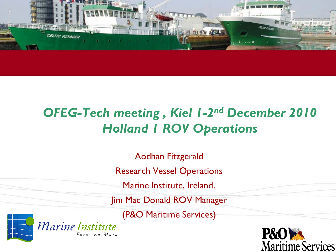

# *OFEG-Tech meeting , Kiel 1-2nd December 2010 Holland 1 ROV Operations*

Aodhan Fitzgerald

Research Vessel Operations

Marine Institute, Ireland.

Jim Mac Donald ROV Manager

(P&O Maritime Services)





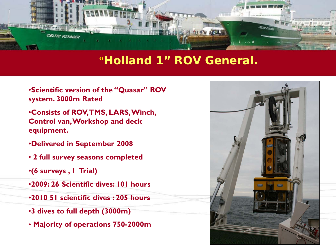

#### "**Holland 1" ROV General.**

- •**Scientific version of the "Quasar" ROV system. 3000m Rated**
- •**Consists of ROV, TMS, LARS, Winch, Control van, Workshop and deck equipment.**
- •**Delivered in September 2008**
- **2 full survey seasons completed**
- •**(6 surveys , 1 Trial)**
- •**2009: 26 Scientific dives: 101 hours**
- •**2010 51 scientific dives : 205 hours**
- •**3 dives to full depth (3000m)**
- **Majority of operations 750-2000m**

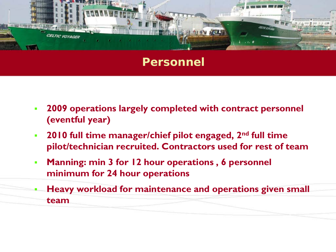

#### **Personnel**

- **2009 operations largely completed with contract personnel (eventful year)**
- **2010 full time manager/chief pilot engaged, 2nd full time pilot/technician recruited. Contractors used for rest of team**
- **Manning: min 3 for 12 hour operations , 6 personnel minimum for 24 hour operations**
- **Heavy workload for maintenance and operations given small team**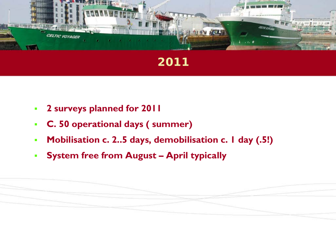

# **2011**

- **2 surveys planned for 2011**
- **C. 50 operational days ( summer)**
- **Mobilisation c. 2..5 days, demobilisation c. 1 day (.5!)**
- **System free from August – April typically**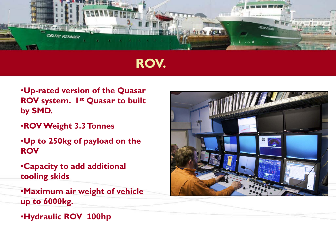

# **ROV.**

- •**Up-rated version of the Quasar ROV system. 1st Quasar to built by SMD.**
- •**ROV Weight 3.3 Tonnes**
- •**Up to 250kg of payload on the ROV**
- •**Capacity to add additional tooling skids**
- •**Maximum air weight of vehicle up to 6000kg.**
- •**Hydraulic ROV 100hp**

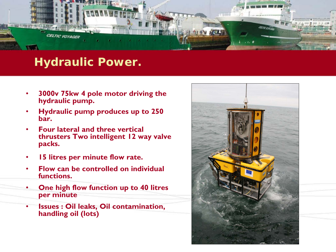

### **Hydraulic Power.**

- **3000v 75kw 4 pole motor driving the hydraulic pump.**
- **Hydraulic pump produces up to 250 bar.**
- **Four lateral and three vertical thrusters Two intelligent 12 way valve packs.**
- **15 litres per minute flow rate.**
- **Flow can be controlled on individual functions.**
- **One high flow function up to 40 litres per minute**
- **Issues : Oil leaks, Oil contamination, handling oil (lots)**

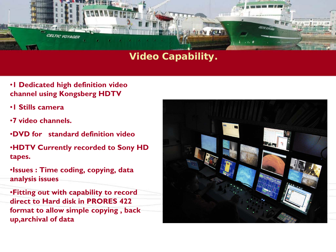

#### **Video Capability.**

- •**1 Dedicated high definition video channel using Kongsberg HDTV**
- •**1 Stills camera**
- •**7 video channels.**
- •**DVD for standard definition video**
- •**HDTV Currently recorded to Sony HD tapes.**
- •**Issues : Time coding, copying, data analysis issues**
- •**Fitting out with capability to record direct to Hard disk in PRORES 422 format to allow simple copying , back up,archival of data**

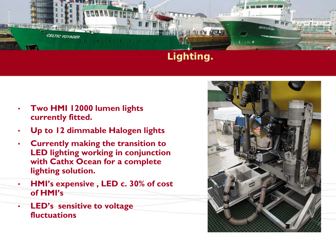

#### **Lighting.**

- **Two HMI 12000 lumen lights currently fitted.**
- **Up to 12 dimmable Halogen lights**
- **Currently making the transition to LED lighting working in conjunction with Cathx Ocean for a complete lighting solution.**
- **HMI's expensive , LED c. 30% of cost of HMI's**
- **LED's sensitive to voltage fluctuations**

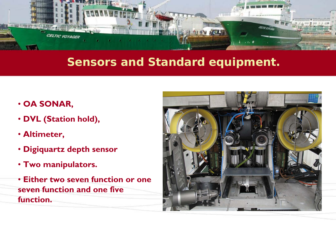

### **Sensors and Standard equipment.**

- **OA SONAR,**
- **DVL (Station hold),**
- **Altimeter,**
- **Digiquartz depth sensor**
- **Two manipulators.**
- **Either two seven function or one seven function and one five function.**

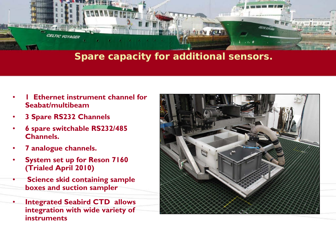

#### **Spare capacity for additional sensors.**

- **Ethernet instrument channel for Seabat/multibeam**
- **3 Spare RS232 Channels**
- **6 spare switchable RS232/485 Channels.**
- **7 analogue channels.**
- **System set up for Reson 7160 (Trialed April 2010)**
- **Science skid containing sample boxes and suction sampler**
- **Integrated Seabird CTD allows integration with wide variety of instruments**

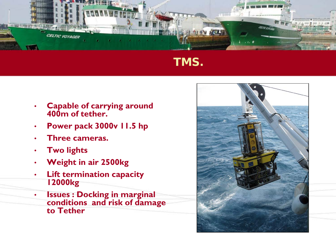

# **TMS.**

- **Capable of carrying around 400m of tether.**
- **Power pack 3000v 11.5 hp**
- **Three cameras.**
- **Two lights**
- **Weight in air 2500kg**
- **Lift termination capacity 12000kg**
- **Issues : Docking in marginal conditions and risk of damage to Tether**

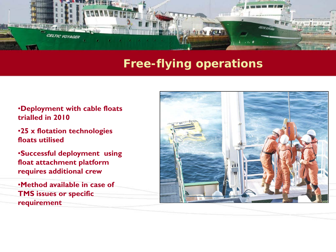

## **Free-flying operations**

- •**Deployment with cable floats trialled in 2010**
- •**25 x flotation technologies floats utilised**
- •**Successful deployment using float attachment platform requires additional crew**
- •**Method available in case of TMS issues or specific requirement**

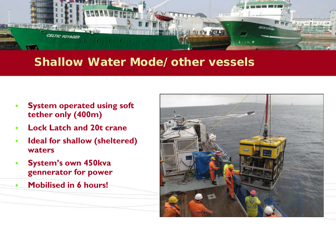

### **Shallow Water Mode/other vessels**

- **System operated using soft tether only (400m)**
- **Lock Latch and 20t crane**
- **Ideal for shallow (sheltered) waters**
- **System's own 450kva gennerator for power**
- **Mobilised in 6 hours!**

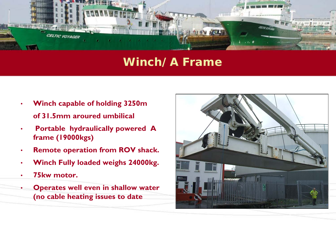

### **Winch/A Frame**

- **Winch capable of holding 3250m of 31.5mm aroured umbilical**
- **Portable hydraulically powered A frame (19000kgs)**
- **Remote operation from ROV shack.**
- **Winch Fully loaded weighs 24000kg.**
- **75kw motor.**
- **Operates well even in shallow water (no cable heating issues to date**